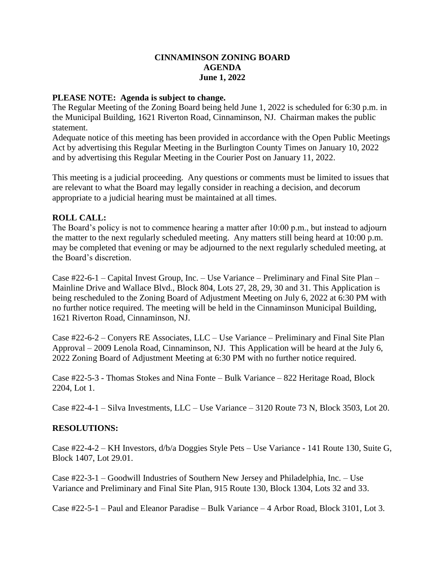## **CINNAMINSON ZONING BOARD AGENDA June 1, 2022**

## **PLEASE NOTE: Agenda is subject to change.**

The Regular Meeting of the Zoning Board being held June 1, 2022 is scheduled for 6:30 p.m. in the Municipal Building, 1621 Riverton Road, Cinnaminson, NJ. Chairman makes the public statement.

Adequate notice of this meeting has been provided in accordance with the Open Public Meetings Act by advertising this Regular Meeting in the Burlington County Times on January 10, 2022 and by advertising this Regular Meeting in the Courier Post on January 11, 2022.

This meeting is a judicial proceeding. Any questions or comments must be limited to issues that are relevant to what the Board may legally consider in reaching a decision, and decorum appropriate to a judicial hearing must be maintained at all times.

## **ROLL CALL:**

The Board's policy is not to commence hearing a matter after 10:00 p.m., but instead to adjourn the matter to the next regularly scheduled meeting. Any matters still being heard at 10:00 p.m. may be completed that evening or may be adjourned to the next regularly scheduled meeting, at the Board's discretion.

Case #22-6-1 – Capital Invest Group, Inc. – Use Variance – Preliminary and Final Site Plan – Mainline Drive and Wallace Blvd., Block 804, Lots 27, 28, 29, 30 and 31. This Application is being rescheduled to the Zoning Board of Adjustment Meeting on July 6, 2022 at 6:30 PM with no further notice required. The meeting will be held in the Cinnaminson Municipal Building, 1621 Riverton Road, Cinnaminson, NJ.

Case #22-6-2 – Conyers RE Associates, LLC – Use Variance – Preliminary and Final Site Plan Approval – 2009 Lenola Road, Cinnaminson, NJ. This Application will be heard at the July 6, 2022 Zoning Board of Adjustment Meeting at 6:30 PM with no further notice required.

Case #22-5-3 - Thomas Stokes and Nina Fonte – Bulk Variance – 822 Heritage Road, Block 2204, Lot 1.

Case #22-4-1 – Silva Investments, LLC – Use Variance – 3120 Route 73 N, Block 3503, Lot 20.

## **RESOLUTIONS:**

Case #22-4-2 – KH Investors, d/b/a Doggies Style Pets – Use Variance - 141 Route 130, Suite G, Block 1407, Lot 29.01.

Case #22-3-1 – Goodwill Industries of Southern New Jersey and Philadelphia, Inc. – Use Variance and Preliminary and Final Site Plan, 915 Route 130, Block 1304, Lots 32 and 33.

Case #22-5-1 – Paul and Eleanor Paradise – Bulk Variance – 4 Arbor Road, Block 3101, Lot 3.